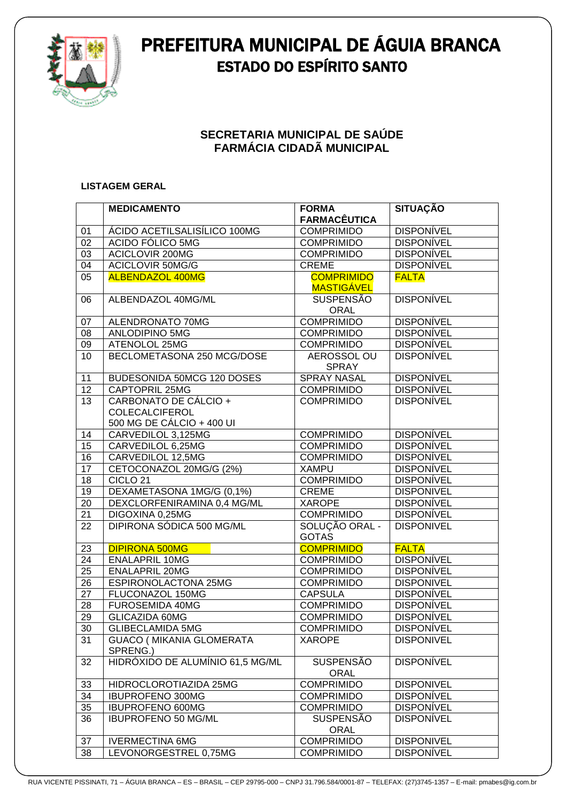

#### **SECRETARIA MUNICIPAL DE SAÚDE FARMÁCIA CIDADÃ MUNICIPAL**

#### **LISTAGEM GERAL**

|                 | <b>MEDICAMENTO</b>                                                          | <b>FORMA</b>                           | <b>SITUAÇÃO</b>   |
|-----------------|-----------------------------------------------------------------------------|----------------------------------------|-------------------|
|                 |                                                                             | <b>FARMACÊUTICA</b>                    |                   |
| 01              | ÁCIDO ACETILSALISÍLICO 100MG                                                | <b>COMPRIMIDO</b>                      | <b>DISPONÍVEL</b> |
| 02              | ACIDO FÓLICO 5MG                                                            | <b>COMPRIMIDO</b>                      | <b>DISPONÍVEL</b> |
| 03              | <b>ACICLOVIR 200MG</b>                                                      | <b>COMPRIMIDO</b>                      | <b>DISPONÍVEL</b> |
| 04              | <b>ACICLOVIR 50MG/G</b>                                                     | <b>CREME</b>                           | <b>DISPONÍVEL</b> |
| 05              | <b>ALBENDAZOL 400MG</b>                                                     | <b>COMPRIMIDO</b><br><b>MASTIGÁVEL</b> | <b>FALTA</b>      |
| 06              | ALBENDAZOL 40MG/ML                                                          | <b>SUSPENSÃO</b><br><b>ORAL</b>        | <b>DISPONÍVEL</b> |
| 07              | ALENDRONATO 70MG                                                            | <b>COMPRIMIDO</b>                      | <b>DISPONÍVEL</b> |
| 08              | <b>ANLODIPINO 5MG</b>                                                       | <b>COMPRIMIDO</b>                      | <b>DISPONÍVEL</b> |
| 09              | ATENOLOL 25MG                                                               | <b>COMPRIMIDO</b>                      | <b>DISPONÍVEL</b> |
| 10              | BECLOMETASONA 250 MCG/DOSE                                                  | AEROSSOL OU<br><b>SPRAY</b>            | <b>DISPONÍVEL</b> |
| 11              | BUDESONIDA 50MCG 120 DOSES                                                  | <b>SPRAY NASAL</b>                     | <b>DISPONÍVEL</b> |
| 12              | <b>CAPTOPRIL 25MG</b>                                                       | <b>COMPRIMIDO</b>                      | <b>DISPONÍVEL</b> |
| 13              | CARBONATO DE CÁLCIO +<br><b>COLECALCIFEROL</b><br>500 MG DE CÁLCIO + 400 UI | <b>COMPRIMIDO</b>                      | <b>DISPONÍVEL</b> |
| 14              | CARVEDILOL 3,125MG                                                          | <b>COMPRIMIDO</b>                      | <b>DISPONÍVEL</b> |
| 15              | CARVEDILOL 6,25MG                                                           | <b>COMPRIMIDO</b>                      | <b>DISPONÍVEL</b> |
| 16              | CARVEDILOL 12,5MG                                                           | <b>COMPRIMIDO</b>                      | <b>DISPONÍVEL</b> |
| 17              | CETOCONAZOL 20MG/G (2%)                                                     | <b>XAMPU</b>                           | <b>DISPONÍVEL</b> |
| 18              | CICLO <sub>21</sub>                                                         | <b>COMPRIMIDO</b>                      | <b>DISPONÍVEL</b> |
| 19              | DEXAMETASONA 1MG/G (0,1%)                                                   | <b>CREME</b>                           | <b>DISPONIVEL</b> |
| 20              | DEXCLORFENIRAMINA 0,4 MG/ML                                                 | <b>XAROPE</b>                          | <b>DISPONÍVEL</b> |
| 21              | DIGOXINA 0,25MG                                                             | <b>COMPRIMIDO</b>                      | <b>DISPONÍVEL</b> |
| 22              | DIPIRONA SÓDICA 500 MG/ML                                                   | SOLUÇÃO ORAL -<br><b>GOTAS</b>         | <b>DISPONIVEL</b> |
| 23              | <b>DIPIRONA 500MG</b>                                                       | <b>COMPRIMIDO</b>                      | <b>FALTA</b>      |
| $\overline{24}$ | <b>ENALAPRIL 10MG</b>                                                       | <b>COMPRIMIDO</b>                      | <b>DISPONÍVEL</b> |
| 25              | <b>ENALAPRIL 20MG</b>                                                       | <b>COMPRIMIDO</b>                      | <b>DISPONÍVEL</b> |
| 26              | <b>ESPIRONOLACTONA 25MG</b>                                                 | <b>COMPRIMIDO</b>                      | <b>DISPONIVEL</b> |
| $\overline{27}$ | FLUCONAZOL 150MG                                                            | <b>CAPSULA</b>                         | <b>DISPONÍVEL</b> |
| $\overline{28}$ | <b>FUROSEMIDA 40MG</b>                                                      | <b>COMPRIMIDO</b>                      | <b>DISPONÍVEL</b> |
| $\overline{29}$ | GLICAZIDA 60MG                                                              | <b>COMPRIMIDO</b>                      | <b>DISPONÍVEL</b> |
| 30              | <b>GLIBECLAMIDA 5MG</b>                                                     | <b>COMPRIMIDO</b>                      | <b>DISPONÍVEL</b> |
| 31              | <b>GUACO (MIKANIA GLOMERATA</b><br>SPRENG.)                                 | <b>XAROPE</b>                          | <b>DISPONIVEL</b> |
| 32              | HIDRÓXIDO DE ALUMÍNIO 61,5 MG/ML                                            | <b>SUSPENSÃO</b><br><b>ORAL</b>        | <b>DISPONÍVEL</b> |
| 33              | HIDROCLOROTIAZIDA 25MG                                                      | <b>COMPRIMIDO</b>                      | <b>DISPONIVEL</b> |
| 34              | IBUPROFENO 300MG                                                            | <b>COMPRIMIDO</b>                      | <b>DISPONÍVEL</b> |
| 35              | <b>IBUPROFENO 600MG</b>                                                     | <b>COMPRIMIDO</b>                      | <b>DISPONÍVEL</b> |
| 36              | <b>IBUPROFENO 50 MG/ML</b>                                                  | <b>SUSPENSÃO</b><br><b>ORAL</b>        | <b>DISPONÍVEL</b> |
| 37              | <b>IVERMECTINA 6MG</b>                                                      | <b>COMPRIMIDO</b>                      | <b>DISPONIVEL</b> |
| 38              | LEVONORGESTREL 0,75MG                                                       | <b>COMPRIMIDO</b>                      | <b>DISPONÍVEL</b> |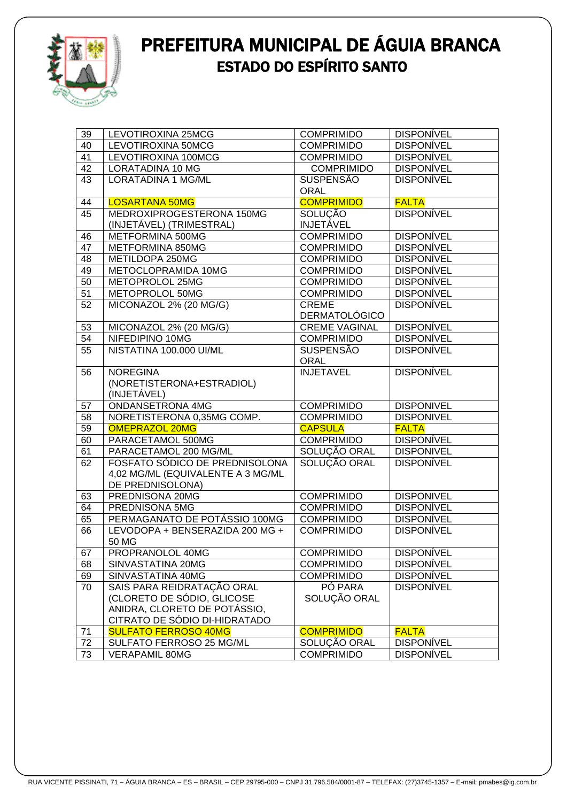

| 39              | LEVOTIROXINA 25MCG                | <b>COMPRIMIDO</b>    | <b>DISPONÍVEL</b> |
|-----------------|-----------------------------------|----------------------|-------------------|
| 40              | LEVOTIROXINA 50MCG                | <b>COMPRIMIDO</b>    | <b>DISPONÍVEL</b> |
| 41              | LEVOTIROXINA 100MCG               | <b>COMPRIMIDO</b>    | <b>DISPONÍVEL</b> |
| 42              | <b>LORATADINA 10 MG</b>           | <b>COMPRIMIDO</b>    | <b>DISPONÍVEL</b> |
| 43              | LORATADINA 1 MG/ML                | <b>SUSPENSÃO</b>     | <b>DISPONÍVEL</b> |
|                 |                                   | <b>ORAL</b>          |                   |
| 44              | <b>LOSARTANA 50MG</b>             | <b>COMPRIMIDO</b>    | <b>FALTA</b>      |
| 45              | MEDROXIPROGESTERONA 150MG         | <b>SOLUÇÃO</b>       | <b>DISPONÍVEL</b> |
|                 | (INJETÁVEL) (TRIMESTRAL)          | <b>INJETÁVEL</b>     |                   |
| 46              | METFORMINA 500MG                  | <b>COMPRIMIDO</b>    | <b>DISPONÍVEL</b> |
| 47              | METFORMINA 850MG                  | <b>COMPRIMIDO</b>    | <b>DISPONÍVEL</b> |
| 48              | METILDOPA 250MG                   | <b>COMPRIMIDO</b>    | <b>DISPONÍVEL</b> |
| 49              | METOCLOPRAMIDA 10MG               | <b>COMPRIMIDO</b>    | <b>DISPONÍVEL</b> |
| 50              | METOPROLOL 25MG                   | <b>COMPRIMIDO</b>    | <b>DISPONÍVEL</b> |
| 51              | METOPROLOL 50MG                   | <b>COMPRIMIDO</b>    | <b>DISPONÍVEL</b> |
| $\overline{52}$ | MICONAZOL 2% (20 MG/G)            | <b>CREME</b>         | <b>DISPONÍVEL</b> |
|                 |                                   | <b>DERMATOLÓGICO</b> |                   |
| 53              | MICONAZOL 2% (20 MG/G)            | <b>CREME VAGINAL</b> | <b>DISPONÍVEL</b> |
| 54              | NIFEDIPINO 10MG                   | <b>COMPRIMIDO</b>    | <b>DISPONÍVEL</b> |
| 55              | NISTATINA 100.000 UI/ML           | <b>SUSPENSÃO</b>     | <b>DISPONÍVEL</b> |
|                 |                                   | <b>ORAL</b>          |                   |
| 56              | <b>NOREGINA</b>                   | <b>INJETAVEL</b>     | <b>DISPONÍVEL</b> |
|                 | (NORETISTERONA+ESTRADIOL)         |                      |                   |
|                 | (INJETÁVEL)                       |                      |                   |
| 57              | ONDANSETRONA 4MG                  | <b>COMPRIMIDO</b>    | <b>DISPONIVEL</b> |
| 58              | NORETISTERONA 0,35MG COMP.        | <b>COMPRIMIDO</b>    | <b>DISPONIVEL</b> |
| 59              | <b>OMEPRAZOL 20MG</b>             | <b>CAPSULA</b>       | <b>FALTA</b>      |
| 60              | PARACETAMOL 500MG                 | <b>COMPRIMIDO</b>    | <b>DISPONÍVEL</b> |
| 61              | PARACETAMOL 200 MG/ML             | SOLUÇÃO ORAL         | <b>DISPONIVEL</b> |
| 62              | FOSFATO SÓDICO DE PREDNISOLONA    | SOLUÇÃO ORAL         | <b>DISPONÍVEL</b> |
|                 | 4,02 MG/ML (EQUIVALENTE A 3 MG/ML |                      |                   |
|                 | DE PREDNISOLONA)                  |                      |                   |
| 63              | PREDNISONA 20MG                   | <b>COMPRIMIDO</b>    | <b>DISPONIVEL</b> |
| 64              | PREDNISONA 5MG                    | <b>COMPRIMIDO</b>    | <b>DISPONÍVEL</b> |
| 65              | PERMAGANATO DE POTÁSSIO 100MG     | <b>COMPRIMIDO</b>    | <b>DISPONÍVEL</b> |
| 66              | LEVODOPA + BENSERAZIDA 200 MG +   | <b>COMPRIMIDO</b>    | <b>DISPONÍVEL</b> |
|                 | 50 MG                             |                      |                   |
| 67              | PROPRANOLOL 40MG                  | <b>COMPRIMIDO</b>    | <b>DISPONÍVEL</b> |
| 68              | SINVASTATINA 20MG                 | <b>COMPRIMIDO</b>    | <b>DISPONÍVEL</b> |
| 69              | SINVASTATINA 40MG                 | <b>COMPRIMIDO</b>    | <b>DISPONÍVEL</b> |
| 70              | SAIS PARA REIDRATAÇÃO ORAL        | PÓ PARA              | <b>DISPONÍVEL</b> |
|                 | (CLORETO DE SÓDIO, GLICOSE        | SOLUÇÃO ORAL         |                   |
|                 | ANIDRA, CLORETO DE POTÁSSIO,      |                      |                   |
|                 | CITRATO DE SÓDIO DI-HIDRATADO     |                      |                   |
| 71              | <b>SULFATO FERROSO 40MG</b>       | <b>COMPRIMIDO</b>    | <b>FALTA</b>      |
| 72              | SULFATO FERROSO 25 MG/ML          | SOLUÇÃO ORAL         | <b>DISPONÍVEL</b> |
| 73              | <b>VERAPAMIL 80MG</b>             | <b>COMPRIMIDO</b>    | <b>DISPONÍVEL</b> |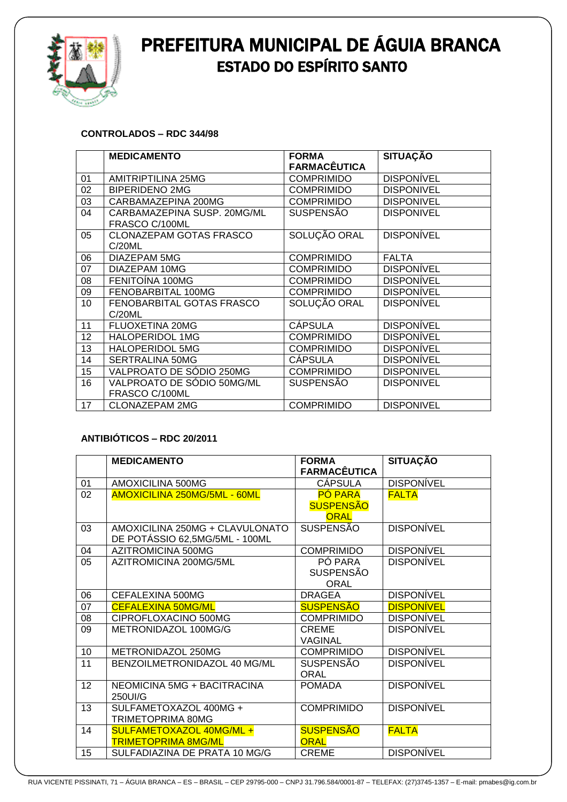

#### **CONTROLADOS – RDC 344/98**

|    | <b>MEDICAMENTO</b>                            | <b>FORMA</b><br><b>FARMACÊUTICA</b> | <b>SITUAÇÃO</b>   |
|----|-----------------------------------------------|-------------------------------------|-------------------|
| 01 | AMITRIPTILINA 25MG                            | <b>COMPRIMIDO</b>                   | <b>DISPONÍVEL</b> |
| 02 | <b>BIPERIDENO 2MG</b>                         | <b>COMPRIMIDO</b>                   | <b>DISPONIVEL</b> |
| 03 | CARBAMAZEPINA 200MG                           | <b>COMPRIMIDO</b>                   | <b>DISPONIVEL</b> |
| 04 | CARBAMAZEPINA SUSP. 20MG/ML<br>FRASCO C/100ML | <b>SUSPENSÃO</b>                    | <b>DISPONIVEL</b> |
| 05 | <b>CLONAZEPAM GOTAS FRASCO</b><br>C/20ML      | SOLUÇÃO ORAL                        | <b>DISPONÍVEL</b> |
| 06 | DIAZEPAM 5MG                                  | <b>COMPRIMIDO</b>                   | <b>FALTA</b>      |
| 07 | <b>DIAZEPAM 10MG</b>                          | <b>COMPRIMIDO</b>                   | <b>DISPONÍVEL</b> |
| 08 | FENITOÍNA 100MG                               | <b>COMPRIMIDO</b>                   | <b>DISPONÍVEL</b> |
| 09 | FENOBARBITAL 100MG                            | <b>COMPRIMIDO</b>                   | <b>DISPONÍVEL</b> |
| 10 | FENOBARBITAL GOTAS FRASCO                     | SOLUÇÃO ORAL                        | <b>DISPONÍVEL</b> |
|    | C/20ML                                        |                                     |                   |
| 11 | FLUOXETINA 20MG                               | <b>CÁPSULA</b>                      | <b>DISPONÍVEL</b> |
| 12 | <b>HALOPERIDOL 1MG</b>                        | <b>COMPRIMIDO</b>                   | <b>DISPONIVEL</b> |
| 13 | <b>HALOPERIDOL 5MG</b>                        | <b>COMPRIMIDO</b>                   | <b>DISPONÍVEL</b> |
| 14 | <b>SERTRALINA 50MG</b>                        | <b>CAPSULA</b>                      | <b>DISPONÍVEL</b> |
| 15 | VALPROATO DE SÓDIO 250MG                      | <b>COMPRIMIDO</b>                   | <b>DISPONIVEL</b> |
| 16 | VALPROATO DE SÓDIO 50MG/ML                    | <b>SUSPENSÃO</b>                    | <b>DISPONIVEL</b> |
|    | FRASCO C/100ML                                |                                     |                   |
| 17 | <b>CLONAZEPAM 2MG</b>                         | <b>COMPRIMIDO</b>                   | <b>DISPONIVEL</b> |

#### **ANTIBIÓTICOS – RDC 20/2011**

|    | <b>MEDICAMENTO</b>                                                | <b>FORMA</b><br><b>FARMACÊUTICA</b>               | <b>SITUAÇÃO</b>   |
|----|-------------------------------------------------------------------|---------------------------------------------------|-------------------|
| 01 | AMOXICILINA 500MG                                                 | <b>CÁPSULA</b>                                    | <b>DISPONÍVEL</b> |
| 02 | <b>AMOXICILINA 250MG/5ML - 60ML</b>                               | <b>PÓ PARA</b><br><b>SUSPENSÃO</b><br><b>ORAL</b> | <b>FALTA</b>      |
| 03 | AMOXICILINA 250MG + CLAVULONATO<br>DE POTÁSSIO 62,5MG/5ML - 100ML | <b>SUSPENSÃO</b>                                  | <b>DISPONÍVEL</b> |
| 04 | AZITROMICINA 500MG                                                | <b>COMPRIMIDO</b>                                 | <b>DISPONÍVEL</b> |
| 05 | AZITROMICINA 200MG/5ML                                            | PÓ PARA<br><b>SUSPENSÃO</b><br><b>ORAL</b>        | <b>DISPONÍVEL</b> |
| 06 | CEFALEXINA 500MG                                                  | <b>DRAGEA</b>                                     | <b>DISPONÍVEL</b> |
| 07 | <b>CEFALEXINA 50MG/ML</b>                                         | <b>SUSPENSÃO</b>                                  | <b>DISPONÍVEL</b> |
| 08 | CIPROFLOXACINO 500MG                                              | <b>COMPRIMIDO</b>                                 | <b>DISPONÍVEL</b> |
| 09 | METRONIDAZOL 100MG/G                                              | <b>CREME</b><br><b>VAGINAL</b>                    | <b>DISPONÍVEL</b> |
| 10 | METRONIDAZOL 250MG                                                | <b>COMPRIMIDO</b>                                 | <b>DISPONÍVEL</b> |
| 11 | BENZOILMETRONIDAZOL 40 MG/ML                                      | <b>SUSPENSÃO</b><br>ORAL                          | <b>DISPONIVEL</b> |
| 12 | NEOMICINA 5MG + BACITRACINA<br>250UI/G                            | <b>POMADA</b>                                     | <b>DISPONÍVEL</b> |
| 13 | SULFAMETOXAZOL 400MG +<br>TRIMETOPRIMA 80MG                       | <b>COMPRIMIDO</b>                                 | <b>DISPONÍVEL</b> |
| 14 | <b>SULFAMETOXAZOL 40MG/ML +</b><br><b>TRIMETOPRIMA 8MG/ML</b>     | <b>SUSPENSÃO</b><br>ORAL                          | <b>FALTA</b>      |
| 15 | SULFADIAZINA DE PRATA 10 MG/G                                     | <b>CREME</b>                                      | <b>DISPONÍVEL</b> |